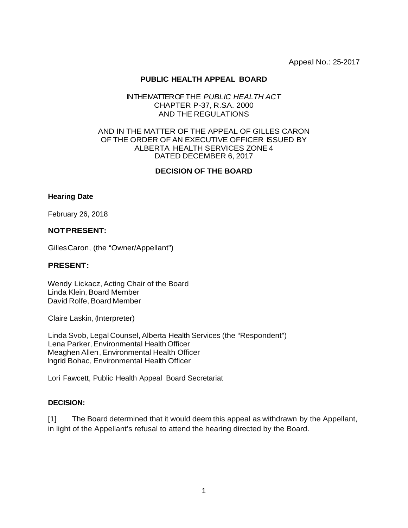# **PUBLIC HEALTH APPEAL BOARD**

## IN THE MATTER OFTHE *PUBLIC HEALTH ACT* CHAPTER P-37, R.SA. 2000 AND THE REGULATIONS

#### AND IN THE MATTER OF THE APPEAL OF GILLES CARON OF THE ORDER OF AN EXECUTIVE OFFICER ISSUED BY ALBERTA HEALTH SERVICES ZONE 4 DATED DECEMBER 6, 2017

## **DECISION OF THE BOARD**

## **Hearing Date**

February 26, 2018

## **NOTPRESENT:**

GillesCaron, (the "Owner/Appellant")

#### **PRESENT:**

Wendy Lickacz, Acting Chair of the Board Linda Klein, Board Member David Rolfe, Board Member

Claire Laskin, (Interpreter)

Linda Svob, Legal Counsel, Alberta Health Services (the "Respondent") Lena Parker, Environmental Health Officer Meaghen Allen, Environmental Health Officer Ingrid Bohac, Environmental Health Officer

Lori Fawcett, Public Health Appeal Board Secretariat

#### **DECISION:**

[1] The Board determined that it would deem this appeal as withdrawn by the Appellant, in light of the Appellant's refusal to attend the hearing directed by the Board.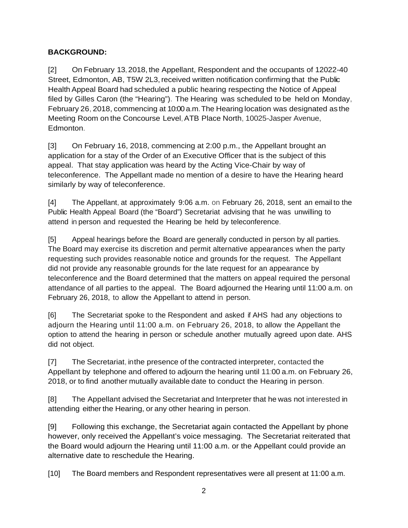# **BACKGROUND:**

[2] On February 13,2018, the Appellant, Respondent and the occupants of 12022-40 Street, Edmonton, AB, T5W 2L3, received written notification confirming that the Public Health Appeal Board had scheduled a public hearing respecting the Notice of Appeal filed by Gilles Caron (the "Hearing"). The Hearing was scheduled to be held on Monday, February 26, 2018, commencing at 10:00 a.m.The Hearing location was designated as the Meeting Room on the Concourse Level,ATB Place North, 10025-Jasper Avenue, Edmonton.

[3] On February 16, 2018, commencing at 2:00 p.m., the Appellant brought an application for a stay of the Order of an Executive Officer that is the subject of this appeal. That stay application was heard by the Acting Vice-Chair by way of teleconference. The Appellant made no mention of a desire to have the Hearing heard similarly by way of teleconference.

[4] The Appellant, at approximately 9:06 a.m. on February 26, 2018, sent an email to the Public Health Appeal Board (the "Board") Secretariat advising that he was unwilling to attend in person and requested the Hearing be held by teleconference.

[5] Appeal hearings before the Board are generally conducted in person by all parties. The Board may exercise its discretion and permit alternative appearances when the party requesting such provides reasonable notice and grounds for the request. The Appellant did not provide any reasonable grounds for the late request for an appearance by teleconference and the Board determined that the matters on appeal required the personal attendance of all parties to the appeal. The Board adjourned the Hearing until 11:00 a.m. on February 26, 2018, to allow the Appellant to attend in person.

[6] The Secretariat spoke to the Respondent and asked if AHS had any objections to adjourn the Hearing until 11:00 a.m. on February 26, 2018, to allow the Appellant the option to attend the hearing in person or schedule another mutually agreed upon date. AHS did not object.

[7] The Secretariat, inthe presence of the contracted interpreter, contacted the Appellant by telephone and offered to adjourn the hearing until 11:00 a.m. on February 26, 2018, or to find another mutually available date to conduct the Hearing in person.

[8] The Appellant advised the Secretariat and Interpreter that he was not interested in attending either the Hearing, or any other hearing in person.

[9] Following this exchange, the Secretariat again contacted the Appellant by phone however, only received the Appellant's voice messaging. The Secretariat reiterated that the Board would adjourn the Hearing until 11:00 a.m. or the Appellant could provide an alternative date to reschedule the Hearing.

[10] The Board members and Respondent representatives were all present at 11:00 a.m.